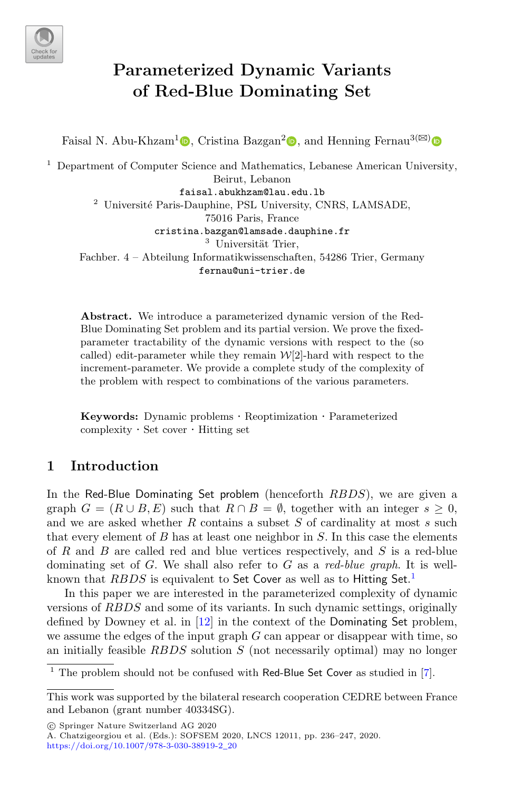

# **Parameterized Dynamic Variants of Red-Blue Dominating Set**

Faisal N. Abu-Khzam<sup>[1](http://orcid.org/0000-0001-5221-8421)</sup> $\bullet$ [,](http://orcid.org/0000-0002-5460-6222) Cristina Bazgan<sup>2</sup> $\bullet$ , and Henning Fernau<sup>3( $\boxtimes$ [\)](http://orcid.org/0000-0002-4444-3220)</sup>

<sup>1</sup> Department of Computer Science and Mathematics, Lebanese American University, Beirut, Lebanon

faisal.abukhzam@lau.edu.lb <sup>2</sup> Université Paris-Dauphine, PSL University, CNRS, LAMSADE, 75016 Paris, France cristina.bazgan@lamsade.dauphine.fr  $3$  Universität Trier, Fachber. 4 – Abteilung Informatikwissenschaften, 54286 Trier, Germany fernau@uni-trier.de

**Abstract.** We introduce a parameterized dynamic version of the Red-Blue Dominating Set problem and its partial version. We prove the fixedparameter tractability of the dynamic versions with respect to the (so called) edit-parameter while they remain *W*[2]-hard with respect to the increment-parameter. We provide a complete study of the complexity of the problem with respect to combinations of the various parameters.

**Keywords:** Dynamic problems · Reoptimization · Parameterized complexity · Set cover · Hitting set

# **1 Introduction**

In the Red-Blue Dominating Set problem (henceforth RBDS), we are given a graph  $G = (R \cup B, E)$  such that  $R \cap B = \emptyset$ , together with an integer  $s \geq 0$ , and we are asked whether  $R$  contains a subset  $S$  of cardinality at most  $s$  such that every element of  $B$  has at least one neighbor in  $S$ . In this case the elements of R and B are called red and blue vertices respectively, and S is a red-blue dominating set of G. We shall also refer to G as a *red-blue graph*. It is wellknown that RBDS is equivalent to Set Cover as well as to Hitting Set.<sup>1</sup>

In this paper we are interested in the parameterized complexity of dynamic versions of RBDS and some of its variants. In such dynamic settings, originally defined by Downey et al. in [\[12](#page-11-0)] in the context of the Dominating Set problem, we assume the edges of the input graph  $G$  can appear or disappear with time, so an initially feasible  $RBDS$  solution  $S$  (not necessarily optimal) may no longer

The problem should not be confused with Red-Blue Set Cover as studied in [\[7\]](#page-11-1).

This work was supported by the bilateral research cooperation CEDRE between France and Lebanon (grant number 40334SG).

<sup>-</sup>c Springer Nature Switzerland AG 2020

A. Chatzigeorgiou et al. (Eds.): SOFSEM 2020, LNCS 12011, pp. 236–247, 2020. [https://doi.org/10.1007/978-3-030-38919-2](https://doi.org/10.1007/978-3-030-38919-2_20)\_20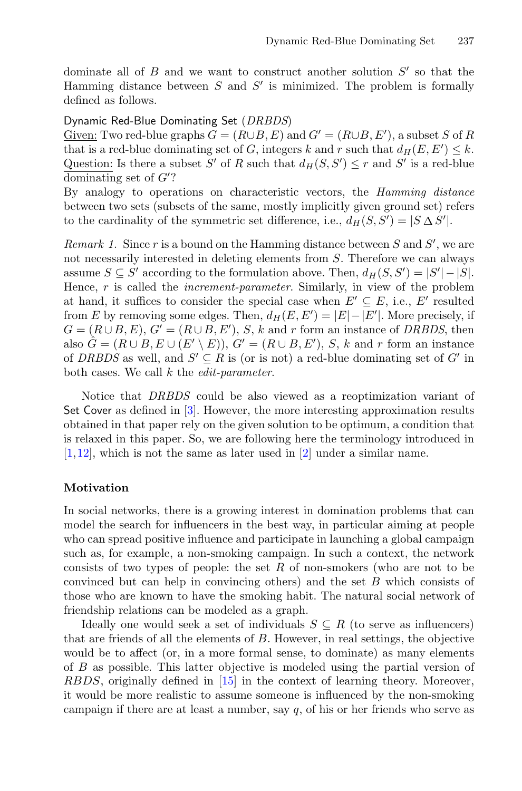dominate all of  $B$  and we want to construct another solution  $S'$  so that the Hamming distance between  $S$  and  $S'$  is minimized. The problem is formally defined as follows.

#### Dynamic Red-Blue Dominating Set (*DRBDS*)

Given: Two red-blue graphs  $G = (R \cup B, E)$  and  $G' = (R \cup B, E')$ , a subset S of R that is a red-blue dominating set of G, integers k and r such that  $d_H(E, E') \leq k$ . Question: Is there a subset S' of R such that  $d_H(S, S') \leq r$  and S' is a red-blue  $\overline{\text{dominating set of } G'}$ ?

By analogy to operations on characteristic vectors, the *Hamming distance* between two sets (subsets of the same, mostly implicitly given ground set) refers to the cardinality of the symmetric set difference, i.e.,  $d_H(S, S') = |S \Delta S'|$ .

<span id="page-1-0"></span>*Remark 1.* Since  $r$  is a bound on the Hamming distance between  $S$  and  $S'$ , we are not necessarily interested in deleting elements from S. Therefore we can always assume  $S \subseteq S'$  according to the formulation above. Then,  $d_H(S, S') = |S'| - |S|$ . Hence, r is called the *increment-parameter*. Similarly, in view of the problem at hand, it suffices to consider the special case when  $E' \subseteq E$ , i.e., E' resulted from E by removing some edges. Then,  $d_H(E, E') = |E| - |E'|$ . More precisely, if  $G = (R \cup B, E), G' = (R \cup B, E'), S, k$  and r form an instance of *DRBDS*, then also  $\hat{G} = (R \cup B, E \cup (E' \setminus E)), G' = (R \cup B, E'), S, k$  and r form an instance of *DRBDS* as well, and  $S' \subseteq R$  is (or is not) a red-blue dominating set of G' in both cases. We call k the *edit-parameter*.

Notice that *DRBDS* could be also viewed as a reoptimization variant of Set Cover as defined in [\[3\]](#page-10-0). However, the more interesting approximation results obtained in that paper rely on the given solution to be optimum, a condition that is relaxed in this paper. So, we are following here the terminology introduced in [\[1](#page-10-1)[,12](#page-11-0)], which is not the same as later used in [\[2\]](#page-10-2) under a similar name.

#### **Motivation**

In social networks, there is a growing interest in domination problems that can model the search for influencers in the best way, in particular aiming at people who can spread positive influence and participate in launching a global campaign such as, for example, a non-smoking campaign. In such a context, the network consists of two types of people: the set  $R$  of non-smokers (who are not to be convinced but can help in convincing others) and the set B which consists of those who are known to have the smoking habit. The natural social network of friendship relations can be modeled as a graph.

Ideally one would seek a set of individuals  $S \subseteq R$  (to serve as influencers) that are friends of all the elements of  $B$ . However, in real settings, the objective would be to affect (or, in a more formal sense, to dominate) as many elements of B as possible. This latter objective is modeled using the partial version of RBDS, originally defined in [\[15\]](#page-11-2) in the context of learning theory. Moreover, it would be more realistic to assume someone is influenced by the non-smoking campaign if there are at least a number, say  $q$ , of his or her friends who serve as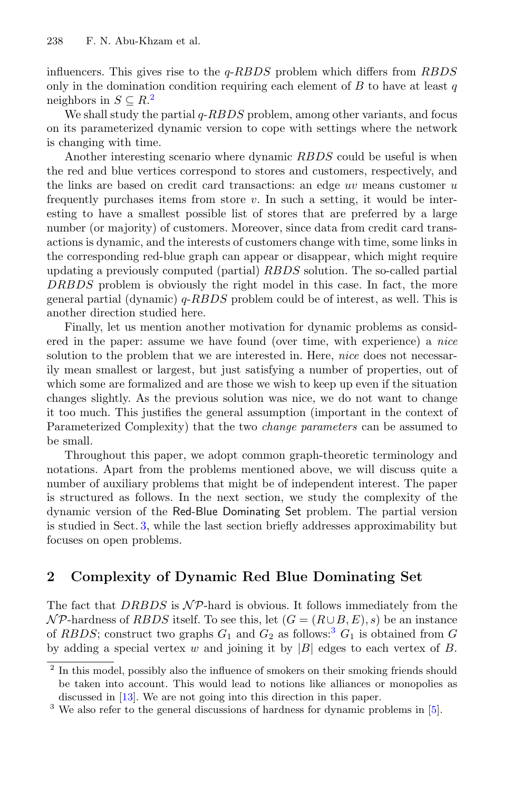influencers. This gives rise to the  $q$ -RBDS problem which differs from RBDS only in the domination condition requiring each element of  $B$  to have at least  $q$ neighbors in  $S \subseteq R$ <sup>[2](#page-2-0)</sup>

We shall study the partial  $q$ - $RBDS$  problem, among other variants, and focus on its parameterized dynamic version to cope with settings where the network is changing with time.

Another interesting scenario where dynamic RBDS could be useful is when the red and blue vertices correspond to stores and customers, respectively, and the links are based on credit card transactions: an edge  $uv$  means customer  $u$ frequently purchases items from store  $v$ . In such a setting, it would be interesting to have a smallest possible list of stores that are preferred by a large number (or majority) of customers. Moreover, since data from credit card transactions is dynamic, and the interests of customers change with time, some links in the corresponding red-blue graph can appear or disappear, which might require updating a previously computed (partial) RBDS solution. The so-called partial DRBDS problem is obviously the right model in this case. In fact, the more general partial (dynamic) q-RBDS problem could be of interest, as well. This is another direction studied here.

Finally, let us mention another motivation for dynamic problems as considered in the paper: assume we have found (over time, with experience) a *nice* solution to the problem that we are interested in. Here, *nice* does not necessarily mean smallest or largest, but just satisfying a number of properties, out of which some are formalized and are those we wish to keep up even if the situation changes slightly. As the previous solution was nice, we do not want to change it too much. This justifies the general assumption (important in the context of Parameterized Complexity) that the two *change parameters* can be assumed to be small.

Throughout this paper, we adopt common graph-theoretic terminology and notations. Apart from the problems mentioned above, we will discuss quite a number of auxiliary problems that might be of independent interest. The paper is structured as follows. In the next section, we study the complexity of the dynamic version of the Red-Blue Dominating Set problem. The partial version is studied in Sect. [3,](#page-5-0) while the last section briefly addresses approximability but focuses on open problems.

## **2 Complexity of Dynamic Red Blue Dominating Set**

The fact that DRBDS is  $N\mathcal{P}$ -hard is obvious. It follows immediately from the  $\mathcal{NP}$ -hardness of RBDS itself. To see this, let  $(G = (R \cup B, E), s)$  be an instance of RBDS; construct two graphs  $G_1$  and  $G_2$  as follows:<sup>[3](#page-2-1)</sup>  $G_1$  is obtained from G by adding a special vertex w and joining it by  $|B|$  edges to each vertex of B.

<span id="page-2-0"></span> $\overline{2}$  In this model, possibly also the influence of smokers on their smoking friends should be taken into account. This would lead to notions like alliances or monopolies as discussed in [\[13\]](#page-11-3). We are not going into this direction in this paper.

<span id="page-2-1"></span> $3$  We also refer to the general discussions of hardness for dynamic problems in [\[5\]](#page-10-3).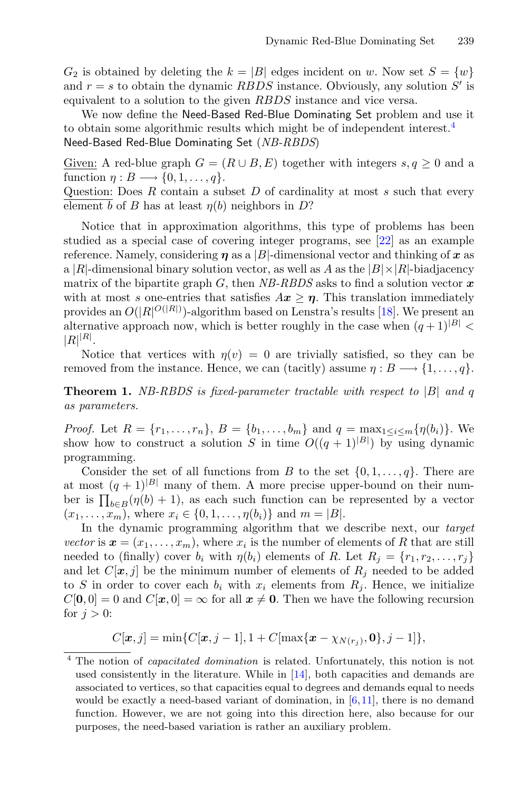$G_2$  is obtained by deleting the  $k = |B|$  edges incident on w. Now set  $S = \{w\}$ and  $r = s$  to obtain the dynamic RBDS instance. Obviously, any solution S' is equivalent to a solution to the given RBDS instance and vice versa.

We now define the Need-Based Red-Blue Dominating Set problem and use it to obtain some algorithmic results which might be of independent interest.[4](#page-3-0) Need-Based Red-Blue Dominating Set (*NB-RBDS*)

Given: A red-blue graph  $G = (R \cup B, E)$  together with integers  $s, q \geq 0$  and a function  $\eta: B \longrightarrow \{0, 1, \ldots, q\}.$ 

Question: Does R contain a subset D of cardinality at most s such that every element b of B has at least  $\eta(b)$  neighbors in D?

Notice that in approximation algorithms, this type of problems has been studied as a special case of covering integer programs, see [\[22](#page-11-4)] as an example reference. Namely, considering  $\eta$  as a |B|-dimensional vector and thinking of x as a |R|-dimensional binary solution vector, as well as A as the  $|B| \times |R|$ -biadjacency matrix of the bipartite graph G, then *NB-RBDS* asks to find a solution vector *x* with at most s one-entries that satisfies  $Ax \geq \eta$ . This translation immediately provides an  $O(|R|^{O(|R|)})$ -algorithm based on Lenstra's results [\[18\]](#page-11-5). We present an alternative approach now, which is better roughly in the case when  $(q+1)^{|B|}$  <  $|R|^{Rl}$ .

Notice that vertices with  $\eta(v) = 0$  are trivially satisfied, so they can be removed from the instance. Hence, we can (tacitly) assume  $\eta : B \longrightarrow \{1, \ldots, q\}.$ 

**Theorem 1.** *NB-RBDS is fixed-parameter tractable with respect to* <sup>|</sup>B<sup>|</sup> *and* <sup>q</sup> *as parameters.*

*Proof.* Let  $R = \{r_1, \ldots, r_n\}$ ,  $B = \{b_1, \ldots, b_m\}$  and  $q = \max_{1 \leq i \leq m} \{q(b_i)\}$ . We show how to construct a solution S in time  $O((q+1)^{|B|})$  by using dynamic programming.

Consider the set of all functions from B to the set  $\{0, 1, \ldots, q\}$ . There are at most  $(q + 1)^{|B|}$  many of them. A more precise upper-bound on their number is  $\prod_{b \in B}(\eta(b) + 1)$ , as each such function can be represented by a vector  $(x_1,...,x_m)$ , where  $x_i \in \{0,1,..., \eta(b_i)\}\$  and  $m = |B|$ .

In the dynamic programming algorithm that we describe next, our *target vector* is  $\mathbf{x} = (x_1, \ldots, x_m)$ , where  $x_i$  is the number of elements of R that are still needed to (finally) cover  $b_i$  with  $\eta(b_i)$  elements of R. Let  $R_i = \{r_1, r_2, \ldots, r_i\}$ and let  $C[\mathbf{x},j]$  be the minimum number of elements of  $R_j$  needed to be added to S in order to cover each  $b_i$  with  $x_i$  elements from  $R_j$ . Hence, we initialize  $C[\mathbf{0},0] = 0$  and  $C[\mathbf{x},0] = \infty$  for all  $\mathbf{x} \neq \mathbf{0}$ . Then we have the following recursion for  $j > 0$ :

$$
C[\mathbf{x},j] = \min\{C[\mathbf{x},j-1],1+C[\max\{\mathbf{x}-\chi_{N(r_j)},\mathbf{0}\},j-1]\},\
$$

<span id="page-3-0"></span><sup>4</sup> The notion of *capacitated domination* is related. Unfortunately, this notion is not used consistently in the literature. While in [\[14\]](#page-11-6), both capacities and demands are associated to vertices, so that capacities equal to degrees and demands equal to needs would be exactly a need-based variant of domination, in  $[6,11]$  $[6,11]$ , there is no demand function. However, we are not going into this direction here, also because for our purposes, the need-based variation is rather an auxiliary problem.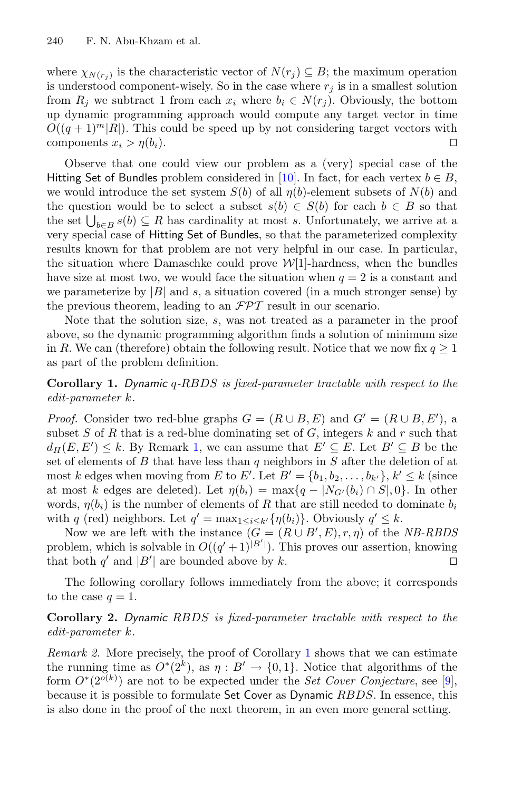where  $\chi_{N(r_i)}$  is the characteristic vector of  $N(r_i) \subseteq B$ ; the maximum operation is understood component-wisely. So in the case where  $r_i$  is in a smallest solution from  $R_i$  we subtract 1 from each  $x_i$  where  $b_i \in N(r_i)$ . Obviously, the bottom up dynamic programming approach would compute any target vector in time  $O((q + 1)^m |R|)$ . This could be speed up by not considering target vectors with components  $x_i > n(b_i)$ . components  $x_i > \eta(b_i)$ .

Observe that one could view our problem as a (very) special case of the Hitting Set of Bundles problem considered in [\[10](#page-11-9)]. In fact, for each vertex  $b \in B$ , we would introduce the set system  $S(b)$  of all  $\eta(b)$ -element subsets of  $N(b)$  and the question would be to select a subset  $s(b) \in S(b)$  for each  $b \in B$  so that the set  $\bigcup_{b\in B} s(b) \subseteq R$  has cardinality at most s. Unfortunately, we arrive at a very special case of Hitting Set of Bundles, so that the parameterized complexity results known for that problem are not very helpful in our case. In particular, the situation where Damaschke could prove  $\mathcal{W}[1]$ -hardness, when the bundles have size at most two, we would face the situation when  $q = 2$  is a constant and we parameterize by  $|B|$  and s, a situation covered (in a much stronger sense) by the previous theorem, leading to an  $\mathcal{FPT}$  result in our scenario.

Note that the solution size, s, was not treated as a parameter in the proof above, so the dynamic programming algorithm finds a solution of minimum size in R. We can (therefore) obtain the following result. Notice that we now fix  $q \geq 1$ as part of the problem definition.

<span id="page-4-0"></span>**Corollary 1.** *Dynamic* q*-*RBDS *is fixed-parameter tractable with respect to the edit-parameter* k*.*

*Proof.* Consider two red-blue graphs  $G = (R \cup B, E)$  and  $G' = (R \cup B, E')$ , a subset S of R that is a red-blue dominating set of G, integers k and r such that  $d_H(E, E') \leq k$ . By Remark [1,](#page-1-0) we can assume that  $E' \subseteq E$ . Let  $B' \subseteq B$  be the set of elements of  $B$  that have less than  $q$  neighbors in  $S$  after the deletion of at most k edges when moving from E to E'. Let  $B' = \{b_1, b_2, \ldots, b_{k'}\}, k' \leq k$  (since at most k edges are deleted). Let  $\eta(b_i) = \max\{q - |N_{G'}(b_i) \cap S|, 0\}$ . In other words,  $\eta(b_i)$  is the number of elements of R that are still needed to dominate  $b_i$ with q (red) neighbors. Let  $q' = \max_{1 \leq i \leq k'} \{ \eta(b_i) \}$ . Obviously  $q' \leq k$ .

Now we are left with the instance  $(G = (R \cup B', E), r, \eta)$  of the *NB-RBDS* problem, which is solvable in  $O((q'+1)^{|B'|})$ . This proves our assertion, knowing that both  $q'$  and  $|B'|$  are bounded above by  $k$ .

The following corollary follows immediately from the above; it corresponds to the case  $q=1$ .

#### **Corollary 2.** *Dynamic* RBDS *is fixed-parameter tractable with respect to the edit-parameter* k*.*

*Remark 2.* More precisely, the proof of Corollary [1](#page-4-0) shows that we can estimate the running time as  $O^*(2^k)$ , as  $\eta : B' \to \{0,1\}$ . Notice that algorithms of the form  $O^*(2^{o(k)})$  are not to be expected under the *Set Cover Conjecture*, see [\[9\]](#page-11-10), because it is possible to formulate Set Cover as Dynamic RBDS. In essence, this is also done in the proof of the next theorem, in an even more general setting.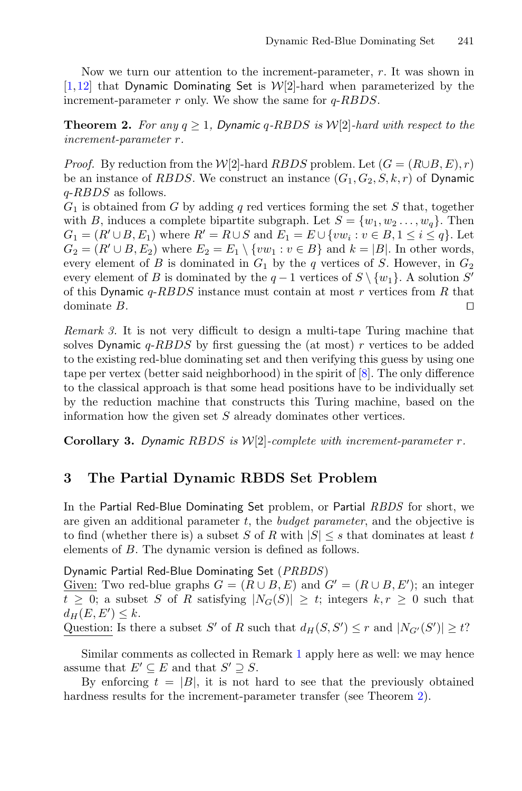Now we turn our attention to the increment-parameter,  $r$ . It was shown in  $[1,12]$  $[1,12]$  $[1,12]$  that Dynamic Dominating Set is  $W[2]$ -hard when parameterized by the increment-parameter  $r$  only. We show the same for  $q$ - $RBDS$ .

<span id="page-5-1"></span>**Theorem 2.** For any  $q \geq 1$ , Dynamic q-RBDS is  $W[2]$ -hard with respect to the *increment-parameter* r*.*

*Proof.* By reduction from the  $\mathcal{W}[2]$ -hard RBDS problem. Let  $(G = (R \cup B, E), r)$ be an instance of RBDS. We construct an instance  $(G_1, G_2, S, k, r)$  of Dynamic  $q$ -RBDS as follows.

 $G_1$  is obtained from G by adding q red vertices forming the set S that, together with B, induces a complete bipartite subgraph. Let  $S = \{w_1, w_2, \ldots, w_n\}$ . Then  $G_1 = (R' \cup B, E_1)$  where  $R' = R \cup S$  and  $E_1 = E \cup \{vw_i : v \in B, 1 \leq i \leq q\}$ . Let  $G_2 = (R' \cup B, E_2)$  where  $E_2 = E_1 \setminus \{vw_1 : v \in B\}$  and  $k = |B|$ . In other words, every element of B is dominated in  $G_1$  by the q vertices of S. However, in  $G_2$ every element of B is dominated by the  $q-1$  vertices of  $S \setminus \{w_1\}$ . A solution  $S'$ of this Dynamic  $q$ -RBDS instance must contain at most r vertices from R that dominate  $B$ .

*Remark 3.* It is not very difficult to design a multi-tape Turing machine that solves Dynamic  $q$ -RBDS by first guessing the (at most)  $r$  vertices to be added to the existing red-blue dominating set and then verifying this guess by using one tape per vertex (better said neighborhood) in the spirit of [\[8\]](#page-11-11). The only difference to the classical approach is that some head positions have to be individually set by the reduction machine that constructs this Turing machine, based on the information how the given set S already dominates other vertices.

**Corollary 3.** *Dynamic* RBDS *is* <sup>W</sup>[2]*-complete with increment-parameter* <sup>r</sup>*.*

# <span id="page-5-0"></span>**3 The Partial Dynamic RBDS Set Problem**

In the Partial Red-Blue Dominating Set problem, or Partial *RBDS* for short, we are given an additional parameter t, the *budget parameter*, and the objective is to find (whether there is) a subset S of R with  $|S| \leq s$  that dominates at least t elements of B. The dynamic version is defined as follows.

#### Dynamic Partial Red-Blue Dominating Set (*PRBDS*)

Given: Two red-blue graphs  $G = (R \cup B, E)$  and  $G' = (R \cup B, E')$ ; an integer  $t \geq 0$ ; a subset S of R satisfying  $|N_G(S)| \geq t$ ; integers  $k, r \geq 0$  such that  $d_H(E, E') \leq k.$ 

Question: Is there a subset S' of R such that  $d_H(S, S') \leq r$  and  $|N_{G'}(S')| \geq t$ ?

Similar comments as collected in Remark [1](#page-1-0) apply here as well: we may hence assume that  $E' \subseteq E$  and that  $S' \supseteq S$ .

By enforcing  $t = |B|$ , it is not hard to see that the previously obtained hardness results for the increment-parameter transfer (see Theorem [2\)](#page-5-1).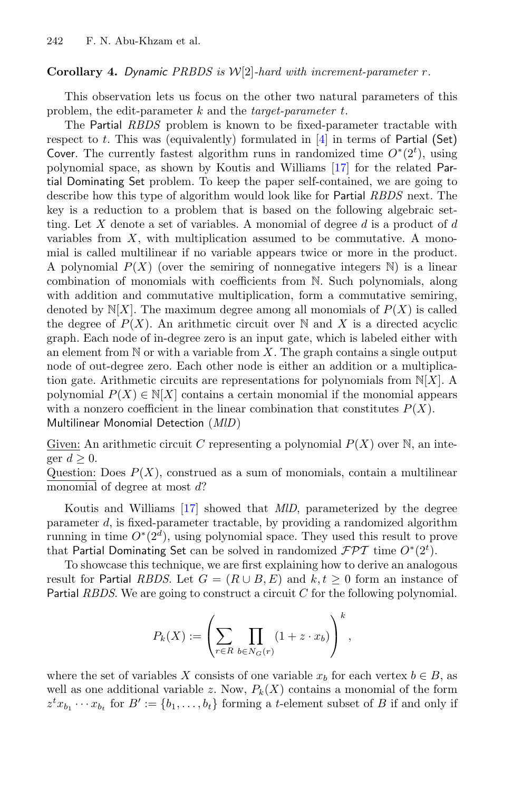#### **Corollary 4.** *Dynamic PRBDS is* <sup>W</sup>[2]*-hard with increment-parameter* <sup>r</sup>*.*

This observation lets us focus on the other two natural parameters of this problem, the edit-parameter k and the *target-parameter* t.

The Partial *RBDS* problem is known to be fixed-parameter tractable with respect to t. This was (equivalently) formulated in  $[4]$  in terms of Partial (Set) Cover. The currently fastest algorithm runs in randomized time  $O^*(2^t)$ , using polynomial space, as shown by Koutis and Williams [\[17\]](#page-11-12) for the related Partial Dominating Set problem. To keep the paper self-contained, we are going to describe how this type of algorithm would look like for Partial *RBDS* next. The key is a reduction to a problem that is based on the following algebraic setting. Let X denote a set of variables. A monomial of degree d is a product of  $d$ variables from  $X$ , with multiplication assumed to be commutative. A monomial is called multilinear if no variable appears twice or more in the product. A polynomial  $P(X)$  (over the semiring of nonnegative integers N) is a linear combination of monomials with coefficients from N. Such polynomials, along with addition and commutative multiplication, form a commutative semiring, denoted by  $N[X]$ . The maximum degree among all monomials of  $P(X)$  is called the degree of  $P(X)$ . An arithmetic circuit over N and X is a directed acyclic graph. Each node of in-degree zero is an input gate, which is labeled either with an element from  $\mathbb N$  or with a variable from X. The graph contains a single output node of out-degree zero. Each other node is either an addition or a multiplication gate. Arithmetic circuits are representations for polynomials from  $N[X]$ . A polynomial  $P(X) \in N[X]$  contains a certain monomial if the monomial appears with a nonzero coefficient in the linear combination that constitutes  $P(X)$ . Multilinear Monomial Detection (*MlD*)

Given: An arithmetic circuit C representing a polynomial  $P(X)$  over N, an integer  $d \geq 0$ .

Question: Does  $P(X)$ , construed as a sum of monomials, contain a multilinear monomial of degree at most d?

Koutis and Williams [\[17\]](#page-11-12) showed that *MlD*, parameterized by the degree parameter d, is fixed-parameter tractable, by providing a randomized algorithm running in time  $O<sup>*</sup>(2<sup>d</sup>)$ , using polynomial space. They used this result to prove that Partial Dominating Set can be solved in randomized  $\mathcal{FPT}$  time  $O^*(2^t)$ .

To showcase this technique, we are first explaining how to derive an analogous result for Partial *RBDS*. Let  $G = (R \cup B, E)$  and  $k, t \geq 0$  form an instance of Partial *RBDS*. We are going to construct a circuit C for the following polynomial.

$$
P_k(X) := \left(\sum_{r \in R} \prod_{b \in N_G(r)} (1 + z \cdot x_b)\right)^k,
$$

where the set of variables X consists of one variable  $x_b$  for each vertex  $b \in B$ , as well as one additional variable z. Now,  $P_k(X)$  contains a monomial of the form  $z^t x_{b_1} \cdots x_{b_t}$  for  $B' := \{b_1, \ldots, b_t\}$  forming a t-element subset of B if and only if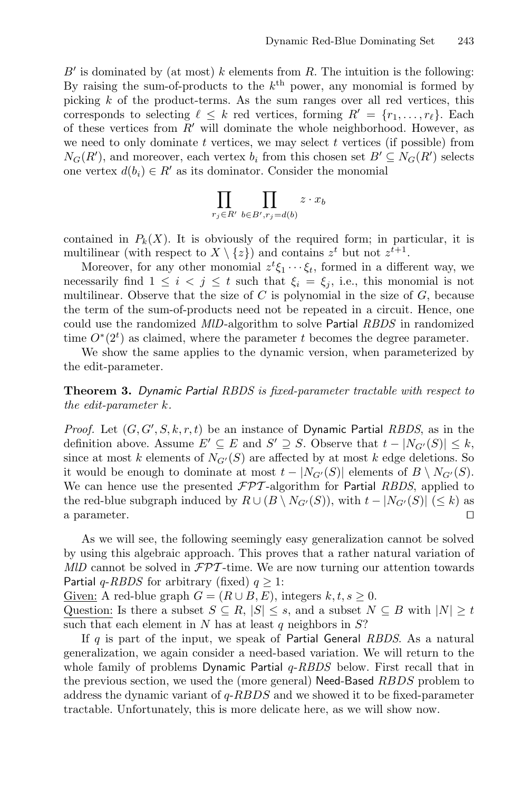$B'$  is dominated by (at most) k elements from R. The intuition is the following: By raising the sum-of-products to the  $k^{\text{th}}$  power, any monomial is formed by picking  $k$  of the product-terms. As the sum ranges over all red vertices, this corresponds to selecting  $\ell \leq k$  red vertices, forming  $R' = \{r_1, \ldots, r_\ell\}$ . Each of these vertices from  $R'$  will dominate the whole neighborhood. However, as we need to only dominate t vertices, we may select t vertices (if possible) from  $N_G(R')$ , and moreover, each vertex  $b_i$  from this chosen set  $B' \subseteq N_G(R')$  selects one vertex  $d(b_i) \in R'$  as its dominator. Consider the monomial

$$
\prod_{r_j \in R'} \prod_{b \in B', r_j = d(b)} z \cdot x_b
$$

contained in  $P_k(X)$ . It is obviously of the required form; in particular, it is multilinear (with respect to  $X \setminus \{z\}$ ) and contains  $z^t$  but not  $z^{t+1}$ .

Moreover, for any other monomial  $z^t \xi_1 \cdots \xi_t$ , formed in a different way, we necessarily find  $1 \leq i < j \leq t$  such that  $\xi_i = \xi_j$ , i.e., this monomial is not multilinear. Observe that the size of  $C$  is polynomial in the size of  $G$ , because the term of the sum-of-products need not be repeated in a circuit. Hence, one could use the randomized *MlD*-algorithm to solve Partial *RBDS* in randomized time  $O^*(2^t)$  as claimed, where the parameter t becomes the degree parameter.

<span id="page-7-0"></span>We show the same applies to the dynamic version, when parameterized by the edit-parameter.

**Theorem 3.** *Dynamic Partial RBDS is fixed-parameter tractable with respect to the edit-parameter* k*.*

*Proof.* Let  $(G, G', S, k, r, t)$  be an instance of Dynamic Partial *RBDS*, as in the definition above. Assume  $E' \subseteq E$  and  $S' \supseteq S$ . Observe that  $t - |N_{G'}(S)| \leq k$ , since at most k elements of  $N_{G'}(S)$  are affected by at most k edge deletions. So it would be enough to dominate at most  $t - |N_{G'}(S)|$  elements of  $B \setminus N_{G'}(S)$ . We can hence use the presented FPT -algorithm for Partial *RBDS*, applied to the red-blue subgraph induced by  $R \cup (B \setminus N_{G'}(S))$ , with  $t - |N_{G'}(S)| \leq k$ ) as a parameter.  $\square$ 

As we will see, the following seemingly easy generalization cannot be solved by using this algebraic approach. This proves that a rather natural variation of *MlD* cannot be solved in  $\mathcal{FPT}$ -time. We are now turning our attention towards Partial  $q$ -*RBDS* for arbitrary (fixed)  $q \geq 1$ :

Given: A red-blue graph  $G = (R \cup B, E)$ , integers  $k, t, s \geq 0$ .

Question: Is there a subset  $S \subseteq R$ ,  $|S| \leq s$ , and a subset  $N \subseteq B$  with  $|N| \geq t$ such that each element in  $N$  has at least  $q$  neighbors in  $S$ ?

If q is part of the input, we speak of Partial General *RBDS*. As a natural generalization, we again consider a need-based variation. We will return to the whole family of problems Dynamic Partial q-*RBDS* below. First recall that in the previous section, we used the (more general) Need-Based RBDS problem to address the dynamic variant of  $q$ - $RBDS$  and we showed it to be fixed-parameter tractable. Unfortunately, this is more delicate here, as we will show now.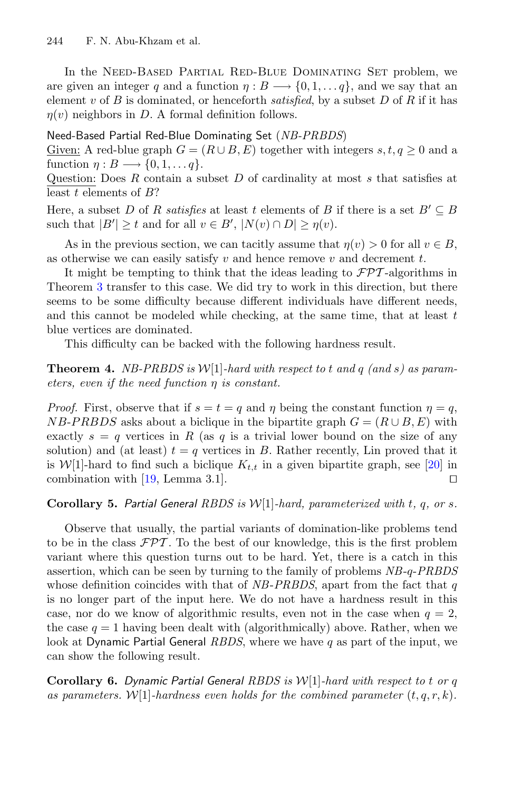In the NEED-BASED PARTIAL RED-BLUE DOMINATING SET problem, we are given an integer q and a function  $\eta : B \longrightarrow \{0, 1, \ldots q\}$ , and we say that an element v of B is dominated, or henceforth *satisfied*, by a subset D of R if it has  $\eta(v)$  neighbors in D. A formal definition follows.

#### Need-Based Partial Red-Blue Dominating Set (*NB-PRBDS*)

Given: A red-blue graph  $G = (R \cup B, E)$  together with integers s,  $t, q \ge 0$  and a function  $\eta: B \longrightarrow \{0, 1, \ldots q\}.$ 

Question: Does R contain a subset D of cardinality at most s that satisfies at least  $t$  elements of  $B$ ?

Here, a subset D of R *satisfies* at least t elements of B if there is a set  $B' \subseteq B$ such that  $|B'| \ge t$  and for all  $v \in B'$ ,  $|N(v) \cap D| \ge \eta(v)$ .

As in the previous section, we can tacitly assume that  $\eta(v) > 0$  for all  $v \in B$ , as otherwise we can easily satisfy  $v$  and hence remove  $v$  and decrement  $t$ .

It might be tempting to think that the ideas leading to  $\mathcal{FPT}$ -algorithms in Theorem [3](#page-7-0) transfer to this case. We did try to work in this direction, but there seems to be some difficulty because different individuals have different needs, and this cannot be modeled while checking, at the same time, that at least  $t$ blue vertices are dominated.

This difficulty can be backed with the following hardness result.

**Theorem 4.** *NB-PRBDS is*  $W[1]$ -hard with respect to t and q (and s) as param*eters, even if the need function* η *is constant.*

*Proof.* First, observe that if  $s = t = q$  and  $\eta$  being the constant function  $\eta = q$ ,  $NB-P R BDS$  asks about a biclique in the bipartite graph  $G = (R \cup B, E)$  with exactly  $s = q$  vertices in R (as q is a trivial lower bound on the size of any solution) and (at least)  $t = q$  vertices in B. Rather recently, Lin proved that it is  $W[1]$ -hard to find such a biclique  $K_{t,t}$  in a given bipartite graph, see [\[20](#page-11-13)] in combination with [19] Lemma 3.1] combination with [\[19,](#page-11-14) Lemma 3.1]. 

### **Corollary 5.** *Partial General RBDS is* <sup>W</sup>[1]*-hard, parameterized with* <sup>t</sup>*,* <sup>q</sup>*, or* <sup>s</sup>*.*

Observe that usually, the partial variants of domination-like problems tend to be in the class  $FPT$ . To the best of our knowledge, this is the first problem variant where this question turns out to be hard. Yet, there is a catch in this assertion, which can be seen by turning to the family of problems *NB*-q-*PRBDS* whose definition coincides with that of *NB*-*PRBDS*, apart from the fact that q is no longer part of the input here. We do not have a hardness result in this case, nor do we know of algorithmic results, even not in the case when  $q = 2$ , the case  $q = 1$  having been dealt with (algorithmically) above. Rather, when we look at Dynamic Partial General *RBDS*, where we have q as part of the input, we can show the following result.

**Corollary 6.** *Dynamic Partial General RBDS is* <sup>W</sup>[1]*-hard with respect to* <sup>t</sup> *or* <sup>q</sup> as parameters.  $W[1]$ -hardness even holds for the combined parameter  $(t, q, r, k)$ .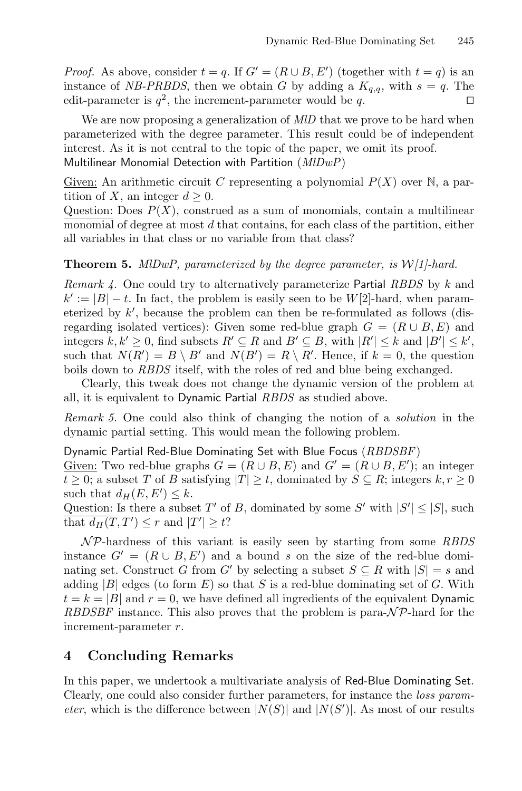*Proof.* As above, consider  $t = q$ . If  $G' = (R \cup B, E')$  (together with  $t = q$ ) is an instance of *NB-PRBDS*, then we obtain G by adding a  $K_{a,q}$ , with  $s = q$ . The edit-parameter is  $q^2$ , the increment-parameter would be q.

We are now proposing a generalization of *MlD* that we prove to be hard when parameterized with the degree parameter. This result could be of independent interest. As it is not central to the topic of the paper, we omit its proof. Multilinear Monomial Detection with Partition (*MlDwP*)

Given: An arithmetic circuit C representing a polynomial  $P(X)$  over N, a partition of X, an integer  $d \geq 0$ .

Question: Does  $P(X)$ , construed as a sum of monomials, contain a multilinear monomial of degree at most  $d$  that contains, for each class of the partition, either all variables in that class or no variable from that class?

#### **Theorem 5.** *MlDwP, parameterized by the degree parameter, is* W*[1]-hard.*

*Remark 4.* One could try to alternatively parameterize Partial *RBDS* by k and  $k' := |B| - t$ . In fact, the problem is easily seen to be  $W[2]$ -hard, when parameterized by k , because the problem can then be re-formulated as follows (disregarding isolated vertices): Given some red-blue graph  $G = (R \cup B, E)$  and integers  $k, k' \geq 0$ , find subsets  $R' \subseteq R$  and  $B' \subseteq B$ , with  $|R'| \leq k$  and  $|B'| \leq k'$ , such that  $N(R') = B \setminus B'$  and  $N(B') = R \setminus R'$ . Hence, if  $k = 0$ , the question boils down to *RBDS* itself, with the roles of red and blue being exchanged.

Clearly, this tweak does not change the dynamic version of the problem at all, it is equivalent to Dynamic Partial *RBDS* as studied above.

*Remark 5.* One could also think of changing the notion of a *solution* in the dynamic partial setting. This would mean the following problem.

Dynamic Partial Red-Blue Dominating Set with Blue Focus (*RBDSBF*)

Given: Two red-blue graphs  $G = (R \cup B, E)$  and  $G' = (R \cup B, E')$ ; an integer  $t \geq 0$ ; a subset T of B satisfying  $|T| \geq t$ , dominated by  $S \subseteq R$ ; integers  $k, r \geq 0$ such that  $d_H(E, E') \leq k$ .

Question: Is there a subset T' of B, dominated by some S' with  $|S'| \leq |S|$ , such that  $d_H(T, T') \leq r$  and  $|T'| \geq t$ ?

N P-hardness of this variant is easily seen by starting from some *RBDS* instance  $G' = (R \cup B, E')$  and a bound s on the size of the red-blue dominating set. Construct G from G' by selecting a subset  $S \subseteq R$  with  $|S| = s$  and adding  $|B|$  edges (to form E) so that S is a red-blue dominating set of G. With  $t = k = |B|$  and  $r = 0$ , we have defined all ingredients of the equivalent Dynamic *RBDSBF* instance. This also proves that the problem is para- $N\mathcal{P}$ -hard for the increment-parameter r.

## **4 Concluding Remarks**

In this paper, we undertook a multivariate analysis of Red-Blue Dominating Set. Clearly, one could also consider further parameters, for instance the *loss param* $eter,$  which is the difference between  $\vert N(S) \vert$  and  $\vert N(S') \vert.$  As most of our results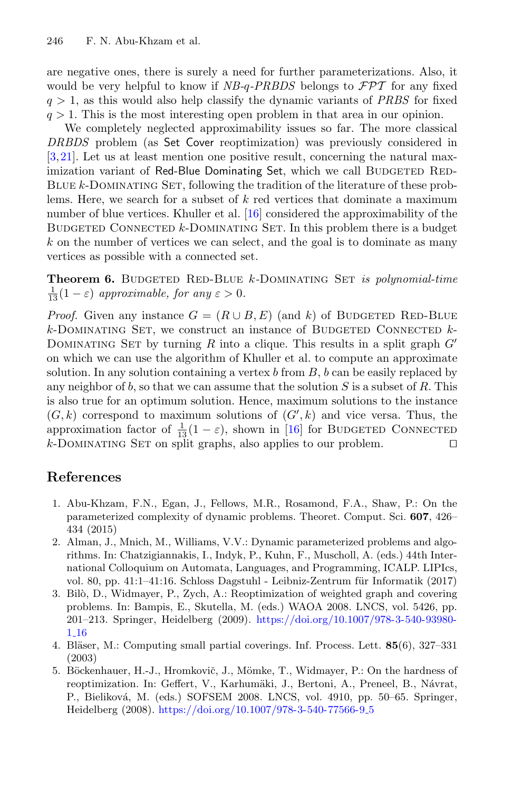are negative ones, there is surely a need for further parameterizations. Also, it would be very helpful to know if *NB-*q*-PRBDS* belongs to FPT for any fixed  $q > 1$ , as this would also help classify the dynamic variants of *PRBS* for fixed  $q > 1$ . This is the most interesting open problem in that area in our opinion.

We completely neglected approximability issues so far. The more classical *DRBDS* problem (as Set Cover reoptimization) was previously considered in [\[3](#page-10-0),[21\]](#page-11-15). Let us at least mention one positive result, concerning the natural maximization variant of Red-Blue Dominating Set, which we call BUDGETED RED-BLUE k-DOMINATING SET, following the tradition of the literature of these problems. Here, we search for a subset of  $k$  red vertices that dominate a maximum number of blue vertices. Khuller et al. [\[16](#page-11-16)] considered the approximability of the BUDGETED CONNECTED  $k$ -DOMINATING SET. In this problem there is a budget k on the number of vertices we can select, and the goal is to dominate as many vertices as possible with a connected set.

**Theorem 6.** Budgeted Red-Blue k*-*Dominating Set *is polynomial-time*  $\frac{1}{13}(1-\varepsilon)$  *approximable, for any*  $\varepsilon > 0$ *.* 

*Proof.* Given any instance  $G = (R \cup B, E)$  (and k) of BUDGETED RED-BLUE  $k$ -Dominating Set, we construct an instance of BUDGETED CONNECTED  $k$ -DOMINATING SET by turning R into a clique. This results in a split graph  $G'$ on which we can use the algorithm of Khuller et al. to compute an approximate solution. In any solution containing a vertex  $b$  from  $B$ ,  $b$  can be easily replaced by any neighbor of b, so that we can assume that the solution S is a subset of R. This is also true for an optimum solution. Hence, maximum solutions to the instance  $(G, k)$  correspond to maximum solutions of  $(G', k)$  and vice versa. Thus, the approximation factor of  $\frac{1}{13}(1-\varepsilon)$ , shown in [\[16](#page-11-16)] for BUDGETED CONNECTED  $k$ -Dominating SET on split graphs, also applies to our problem.  $\square$ 

# **References**

- <span id="page-10-1"></span>1. Abu-Khzam, F.N., Egan, J., Fellows, M.R., Rosamond, F.A., Shaw, P.: On the parameterized complexity of dynamic problems. Theoret. Comput. Sci. **607**, 426– 434 (2015)
- <span id="page-10-2"></span>2. Alman, J., Mnich, M., Williams, V.V.: Dynamic parameterized problems and algorithms. In: Chatzigiannakis, I., Indyk, P., Kuhn, F., Muscholl, A. (eds.) 44th International Colloquium on Automata, Languages, and Programming, ICALP. LIPIcs, vol. 80, pp.  $41:1-41:16$ . Schloss Dagstuhl - Leibniz-Zentrum für Informatik (2017)
- <span id="page-10-0"></span>3. Bilò, D., Widmayer, P., Zych, A.: Reoptimization of weighted graph and covering problems. In: Bampis, E., Skutella, M. (eds.) WAOA 2008. LNCS, vol. 5426, pp. 201–213. Springer, Heidelberg (2009). [https://doi.org/10.1007/978-3-540-93980-](https://doi.org/10.1007/978-3-540-93980-1_16) 1 [16](https://doi.org/10.1007/978-3-540-93980-1_16)
- <span id="page-10-4"></span>4. Bläser, M.: Computing small partial coverings. Inf. Process. Lett.  $85(6)$ , 327–331 (2003)
- <span id="page-10-3"></span>5. Böckenhauer, H.-J., Hromkovič, J., Mömke, T., Widmayer, P.: On the hardness of reoptimization. In: Geffert, V., Karhumäki, J., Bertoni, A., Preneel, B., Návrat, P., Bieliková, M. (eds.) SOFSEM 2008. LNCS, vol. 4910, pp. 50–65. Springer, Heidelberg (2008). [https://doi.org/10.1007/978-3-540-77566-9](https://doi.org/10.1007/978-3-540-77566-9_5) 5